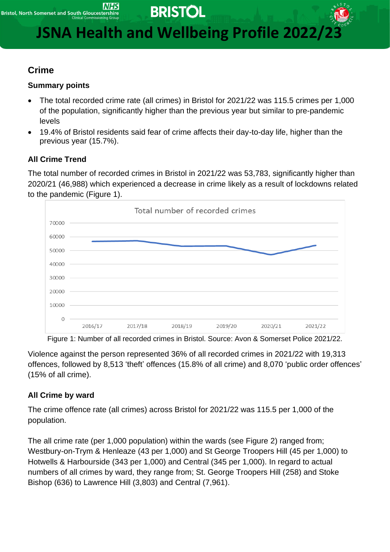**BRISTOL** 

**JSNA Health and Wellbeing Profile 2022/23** 

# **Crime**

## **Summary points**

- The total recorded crime rate (all crimes) in Bristol for 2021/22 was 115.5 crimes per 1,000 of the population, significantly higher than the previous year but similar to pre-pandemic levels
- 19.4% of Bristol residents said fear of crime affects their day-to-day life, higher than the previous year (15.7%).

## **All Crime Trend**

The total number of recorded crimes in Bristol in 2021/22 was 53,783, significantly higher than 2020/21 (46,988) which experienced a decrease in crime likely as a result of lockdowns related to the pandemic (Figure 1).



Figure 1: Number of all recorded crimes in Bristol. Source: Avon & Somerset Police 2021/22.

Violence against the person represented 36% of all recorded crimes in 2021/22 with 19,313 offences, followed by 8,513 'theft' offences (15.8% of all crime) and 8,070 'public order offences' (15% of all crime).

# **All Crime by ward**

The crime offence rate (all crimes) across Bristol for 2021/22 was 115.5 per 1,000 of the population.

The all crime rate (per 1,000 population) within the wards (see Figure 2) ranged from; Westbury-on-Trym & Henleaze (43 per 1,000) and St George Troopers Hill (45 per 1,000) to Hotwells & Harbourside (343 per 1,000) and Central (345 per 1,000). In regard to actual numbers of all crimes by ward, they range from; St. George Troopers Hill (258) and Stoke Bishop (636) to Lawrence Hill (3,803) and Central (7,961).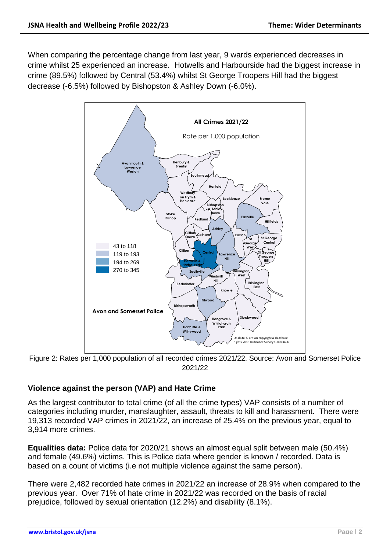When comparing the percentage change from last year, 9 wards experienced decreases in crime whilst 25 experienced an increase. Hotwells and Harbourside had the biggest increase in crime (89.5%) followed by Central (53.4%) whilst St George Troopers Hill had the biggest decrease (-6.5%) followed by Bishopston & Ashley Down (-6.0%).



Figure 2: Rates per 1,000 population of all recorded crimes 2021/22. Source: Avon and Somerset Police 2021/22

## **Violence against the person (VAP) and Hate Crime**

As the largest contributor to total crime (of all the crime types) VAP consists of a number of categories including murder, manslaughter, assault, threats to kill and harassment. There were 19,313 recorded VAP crimes in 2021/22, an increase of 25.4% on the previous year, equal to 3,914 more crimes.

**Equalities data:** Police data for 2020/21 shows an almost equal split between male (50.4%) and female (49.6%) victims. This is Police data where gender is known / recorded. Data is based on a count of victims (i.e not multiple violence against the same person).

There were 2,482 recorded hate crimes in 2021/22 an increase of 28.9% when compared to the previous year. Over 71% of hate crime in 2021/22 was recorded on the basis of racial prejudice, followed by sexual orientation (12.2%) and disability (8.1%).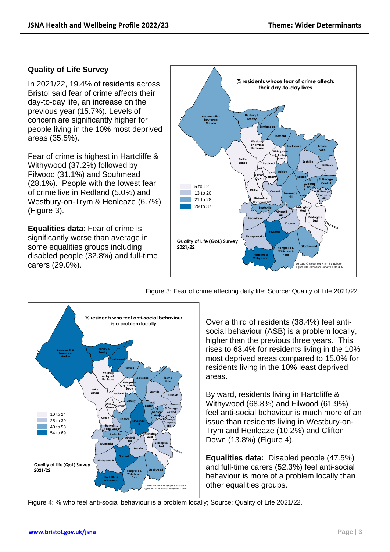#### **Quality of Life Survey**

In 2021/22, 19.4% of residents across Bristol said fear of crime affects their day-to-day life, an increase on the previous year (15.7%). Levels of concern are significantly higher for people living in the 10% most deprived areas (35.5%).

Fear of crime is highest in Hartcliffe & Withywood (37.2%) followed by Filwood (31.1%) and Souhmead (28.1%). People with the lowest fear of crime live in Redland (5.0%) and Westbury-on-Trym & Henleaze (6.7%) (Figure 3).

**Equalities data**: Fear of crime is significantly worse than average in some equalities groups including disabled people (32.8%) and full-time carers (29.0%).



Figure 3: Fear of crime affecting daily life; Source: Quality of Life 2021/22.



Over a third of residents (38.4%) feel antisocial behaviour (ASB) is a problem locally, higher than the previous three years. This rises to 63.4% for residents living in the 10% most deprived areas compared to 15.0% for residents living in the 10% least deprived areas.

By ward, residents living in Hartcliffe & Withywood (68.8%) and Filwood (61.9%) feel anti-social behaviour is much more of an issue than residents living in Westbury-on-Trym and Henleaze (10.2%) and Clifton Down (13.8%) (Figure 4).

**Equalities data:** Disabled people (47.5%) and full-time carers (52.3%) feel anti-social behaviour is more of a problem locally than other equalities groups.

Figure 4: % who feel anti-social behaviour is a problem locally; Source: Quality of Life 2021/22.